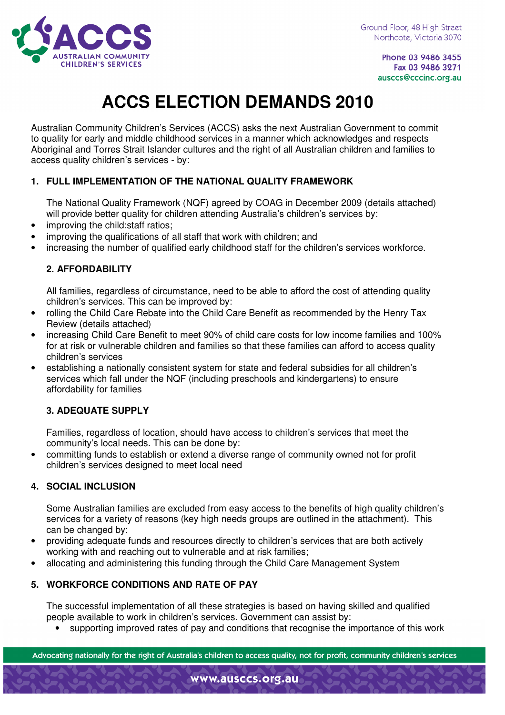

Phone 03 9486 3455 Fax 03 9486 3271 ausccs@cccinc.org.au

# **ACCS ELECTION DEMANDS 2010**

Australian Community Children's Services (ACCS) asks the next Australian Government to commit to quality for early and middle childhood services in a manner which acknowledges and respects Aboriginal and Torres Strait Islander cultures and the right of all Australian children and families to access quality children's services - by:

## **1. FULL IMPLEMENTATION OF THE NATIONAL QUALITY FRAMEWORK**

The National Quality Framework (NQF) agreed by COAG in December 2009 (details attached) will provide better quality for children attending Australia's children's services by:

- improving the child: staff ratios;
- improving the qualifications of all staff that work with children; and
- increasing the number of qualified early childhood staff for the children's services workforce.

### **2. AFFORDABILITY**

All families, regardless of circumstance, need to be able to afford the cost of attending quality children's services. This can be improved by:

- rolling the Child Care Rebate into the Child Care Benefit as recommended by the Henry Tax Review (details attached)
- increasing Child Care Benefit to meet 90% of child care costs for low income families and 100% for at risk or vulnerable children and families so that these families can afford to access quality children's services
- establishing a nationally consistent system for state and federal subsidies for all children's services which fall under the NQF (including preschools and kindergartens) to ensure affordability for families

### **3. ADEQUATE SUPPLY**

Families, regardless of location, should have access to children's services that meet the community's local needs. This can be done by:

• committing funds to establish or extend a diverse range of community owned not for profit children's services designed to meet local need

### **4. SOCIAL INCLUSION**

Some Australian families are excluded from easy access to the benefits of high quality children's services for a variety of reasons (key high needs groups are outlined in the attachment). This can be changed by:

- providing adequate funds and resources directly to children's services that are both actively working with and reaching out to vulnerable and at risk families;
- allocating and administering this funding through the Child Care Management System

### **5. WORKFORCE CONDITIONS AND RATE OF PAY**

The successful implementation of all these strategies is based on having skilled and qualified people available to work in children's services. Government can assist by:

• supporting improved rates of pay and conditions that recognise the importance of this work

Advocating nationally for the right of Australia's children to access quality, not for profit, community children's services

www.ausccs.org.au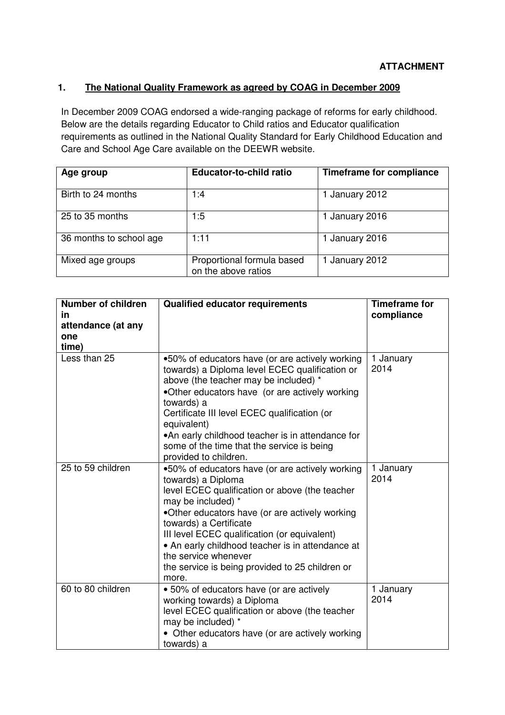#### **1. The National Quality Framework as agreed by COAG in December 2009**

In December 2009 COAG endorsed a wide-ranging package of reforms for early childhood. Below are the details regarding Educator to Child ratios and Educator qualification requirements as outlined in the National Quality Standard for Early Childhood Education and Care and School Age Care available on the DEEWR website.

| Age group               | <b>Educator-to-child ratio</b>                    | <b>Timeframe for compliance</b> |
|-------------------------|---------------------------------------------------|---------------------------------|
| Birth to 24 months      | 1:4                                               | 1 January 2012                  |
| 25 to 35 months         | 1:5                                               | 1 January 2016                  |
| 36 months to school age | 1:11                                              | 1 January 2016                  |
| Mixed age groups        | Proportional formula based<br>on the above ratios | 1 January 2012                  |

| <b>Number of children</b> | <b>Qualified educator requirements</b>                                                            | <b>Timeframe for</b> |
|---------------------------|---------------------------------------------------------------------------------------------------|----------------------|
| in                        |                                                                                                   | compliance           |
| attendance (at any        |                                                                                                   |                      |
| one                       |                                                                                                   |                      |
| time)                     |                                                                                                   |                      |
| Less than 25              | .50% of educators have (or are actively working<br>towards) a Diploma level ECEC qualification or | 1 January<br>2014    |
|                           | above (the teacher may be included) *                                                             |                      |
|                           | •Other educators have (or are actively working                                                    |                      |
|                           | towards) a                                                                                        |                      |
|                           | Certificate III level ECEC qualification (or<br>equivalent)                                       |                      |
|                           | •An early childhood teacher is in attendance for                                                  |                      |
|                           | some of the time that the service is being                                                        |                      |
|                           | provided to children.                                                                             |                      |
| 25 to 59 children         | .50% of educators have (or are actively working                                                   | 1 January            |
|                           | towards) a Diploma                                                                                | 2014                 |
|                           | level ECEC qualification or above (the teacher                                                    |                      |
|                           | may be included) *                                                                                |                      |
|                           | •Other educators have (or are actively working                                                    |                      |
|                           | towards) a Certificate                                                                            |                      |
|                           | III level ECEC qualification (or equivalent)                                                      |                      |
|                           | • An early childhood teacher is in attendance at<br>the service whenever                          |                      |
|                           | the service is being provided to 25 children or                                                   |                      |
|                           | more.                                                                                             |                      |
| 60 to 80 children         | • 50% of educators have (or are actively                                                          | 1 January            |
|                           | working towards) a Diploma                                                                        | 2014                 |
|                           | level ECEC qualification or above (the teacher                                                    |                      |
|                           | may be included) *                                                                                |                      |
|                           | • Other educators have (or are actively working                                                   |                      |
|                           | towards) a                                                                                        |                      |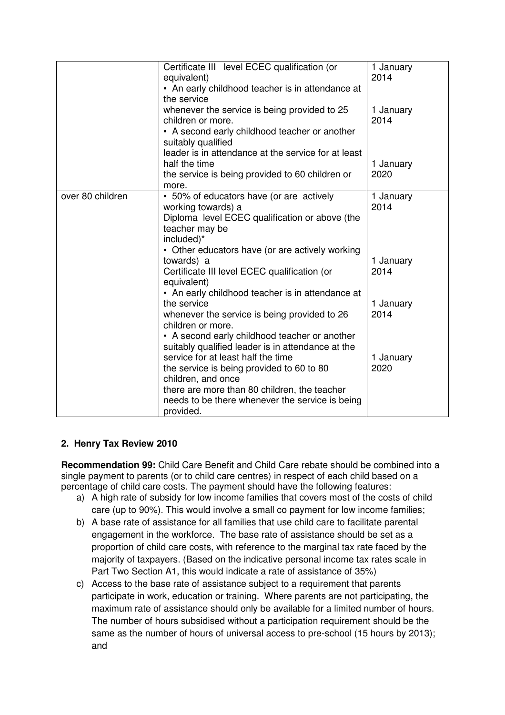|                  | Certificate III level ECEC qualification (or<br>equivalent)<br>• An early childhood teacher is in attendance at<br>the service                                                                                                                                             | 1 January<br>2014 |
|------------------|----------------------------------------------------------------------------------------------------------------------------------------------------------------------------------------------------------------------------------------------------------------------------|-------------------|
|                  | whenever the service is being provided to 25<br>children or more.<br>• A second early childhood teacher or another<br>suitably qualified<br>leader is in attendance at the service for at least                                                                            | 1 January<br>2014 |
|                  | half the time<br>the service is being provided to 60 children or<br>more.                                                                                                                                                                                                  | 1 January<br>2020 |
| over 80 children | • 50% of educators have (or are actively<br>working towards) a<br>Diploma level ECEC qualification or above (the<br>teacher may be<br>included)*                                                                                                                           | 1 January<br>2014 |
|                  | • Other educators have (or are actively working<br>towards) a<br>Certificate III level ECEC qualification (or<br>equivalent)                                                                                                                                               | 1 January<br>2014 |
|                  | • An early childhood teacher is in attendance at<br>the service<br>whenever the service is being provided to 26<br>children or more.<br>• A second early childhood teacher or another                                                                                      | 1 January<br>2014 |
|                  | suitably qualified leader is in attendance at the<br>service for at least half the time<br>the service is being provided to 60 to 80<br>children, and once<br>there are more than 80 children, the teacher<br>needs to be there whenever the service is being<br>provided. | 1 January<br>2020 |

### **2. Henry Tax Review 2010**

**Recommendation 99:** Child Care Benefit and Child Care rebate should be combined into a single payment to parents (or to child care centres) in respect of each child based on a percentage of child care costs. The payment should have the following features:

- a) A high rate of subsidy for low income families that covers most of the costs of child care (up to 90%). This would involve a small co payment for low income families;
- b) A base rate of assistance for all families that use child care to facilitate parental engagement in the workforce. The base rate of assistance should be set as a proportion of child care costs, with reference to the marginal tax rate faced by the majority of taxpayers. (Based on the indicative personal income tax rates scale in Part Two Section A1, this would indicate a rate of assistance of 35%)
- c) Access to the base rate of assistance subject to a requirement that parents participate in work, education or training. Where parents are not participating, the maximum rate of assistance should only be available for a limited number of hours. The number of hours subsidised without a participation requirement should be the same as the number of hours of universal access to pre-school (15 hours by 2013); and